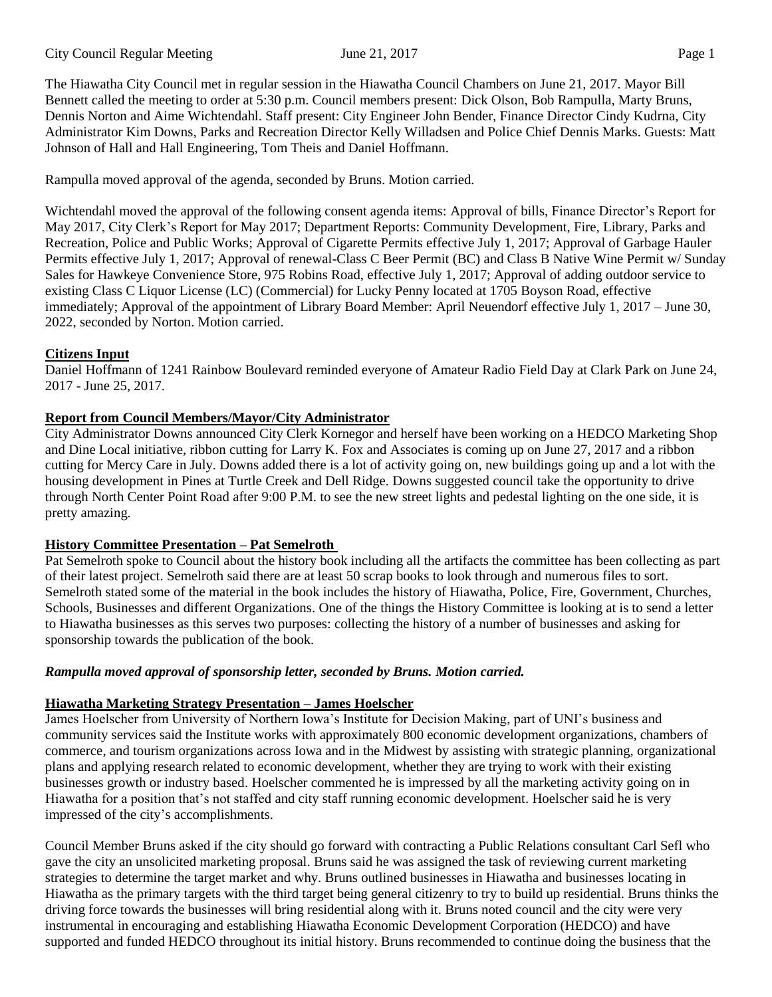The Hiawatha City Council met in regular session in the Hiawatha Council Chambers on June 21, 2017. Mayor Bill Bennett called the meeting to order at 5:30 p.m. Council members present: Dick Olson, Bob Rampulla, Marty Bruns, Dennis Norton and Aime Wichtendahl. Staff present: City Engineer John Bender, Finance Director Cindy Kudrna, City Administrator Kim Downs, Parks and Recreation Director Kelly Willadsen and Police Chief Dennis Marks. Guests: Matt Johnson of Hall and Hall Engineering, Tom Theis and Daniel Hoffmann.

Rampulla moved approval of the agenda, seconded by Bruns. Motion carried.

Wichtendahl moved the approval of the following consent agenda items: Approval of bills, Finance Director's Report for May 2017, City Clerk's Report for May 2017; Department Reports: Community Development, Fire, Library, Parks and Recreation, Police and Public Works; Approval of Cigarette Permits effective July 1, 2017; Approval of Garbage Hauler Permits effective July 1, 2017; Approval of renewal-Class C Beer Permit (BC) and Class B Native Wine Permit w/ Sunday Sales for Hawkeye Convenience Store, 975 Robins Road, effective July 1, 2017; Approval of adding outdoor service to existing Class C Liquor License (LC) (Commercial) for Lucky Penny located at 1705 Boyson Road, effective immediately; Approval of the appointment of Library Board Member: April Neuendorf effective July 1, 2017 – June 30, 2022, seconded by Norton. Motion carried.

## **Citizens Input**

Daniel Hoffmann of 1241 Rainbow Boulevard reminded everyone of Amateur Radio Field Day at Clark Park on June 24, 2017 - June 25, 2017.

## **Report from Council Members/Mayor/City Administrator**

City Administrator Downs announced City Clerk Kornegor and herself have been working on a HEDCO Marketing Shop and Dine Local initiative, ribbon cutting for Larry K. Fox and Associates is coming up on June 27, 2017 and a ribbon cutting for Mercy Care in July. Downs added there is a lot of activity going on, new buildings going up and a lot with the housing development in Pines at Turtle Creek and Dell Ridge. Downs suggested council take the opportunity to drive through North Center Point Road after 9:00 P.M. to see the new street lights and pedestal lighting on the one side, it is pretty amazing.

## **History Committee Presentation – Pat Semelroth**

Pat Semelroth spoke to Council about the history book including all the artifacts the committee has been collecting as part of their latest project. Semelroth said there are at least 50 scrap books to look through and numerous files to sort. Semelroth stated some of the material in the book includes the history of Hiawatha, Police, Fire, Government, Churches, Schools, Businesses and different Organizations. One of the things the History Committee is looking at is to send a letter to Hiawatha businesses as this serves two purposes: collecting the history of a number of businesses and asking for sponsorship towards the publication of the book.

# *Rampulla moved approval of sponsorship letter, seconded by Bruns. Motion carried.*

# **Hiawatha Marketing Strategy Presentation – James Hoelscher**

James Hoelscher from University of Northern Iowa's Institute for Decision Making, part of UNI's business and community services said the Institute works with approximately 800 economic development organizations, chambers of commerce, and tourism organizations across Iowa and in the Midwest by assisting with strategic planning, organizational plans and applying research related to economic development, whether they are trying to work with their existing businesses growth or industry based. Hoelscher commented he is impressed by all the marketing activity going on in Hiawatha for a position that's not staffed and city staff running economic development. Hoelscher said he is very impressed of the city's accomplishments.

Council Member Bruns asked if the city should go forward with contracting a Public Relations consultant Carl Sefl who gave the city an unsolicited marketing proposal. Bruns said he was assigned the task of reviewing current marketing strategies to determine the target market and why. Bruns outlined businesses in Hiawatha and businesses locating in Hiawatha as the primary targets with the third target being general citizenry to try to build up residential. Bruns thinks the driving force towards the businesses will bring residential along with it. Bruns noted council and the city were very instrumental in encouraging and establishing Hiawatha Economic Development Corporation (HEDCO) and have supported and funded HEDCO throughout its initial history. Bruns recommended to continue doing the business that the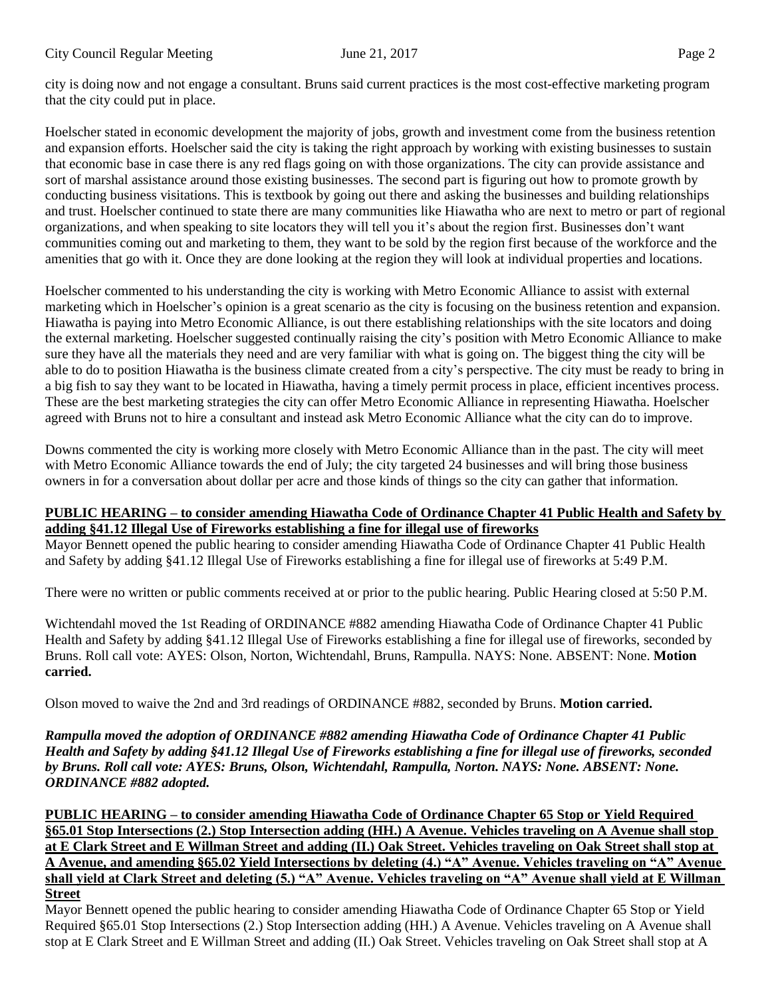city is doing now and not engage a consultant. Bruns said current practices is the most cost-effective marketing program that the city could put in place.

Hoelscher stated in economic development the majority of jobs, growth and investment come from the business retention and expansion efforts. Hoelscher said the city is taking the right approach by working with existing businesses to sustain that economic base in case there is any red flags going on with those organizations. The city can provide assistance and sort of marshal assistance around those existing businesses. The second part is figuring out how to promote growth by conducting business visitations. This is textbook by going out there and asking the businesses and building relationships and trust. Hoelscher continued to state there are many communities like Hiawatha who are next to metro or part of regional organizations, and when speaking to site locators they will tell you it's about the region first. Businesses don't want communities coming out and marketing to them, they want to be sold by the region first because of the workforce and the amenities that go with it. Once they are done looking at the region they will look at individual properties and locations.

Hoelscher commented to his understanding the city is working with Metro Economic Alliance to assist with external marketing which in Hoelscher's opinion is a great scenario as the city is focusing on the business retention and expansion. Hiawatha is paying into Metro Economic Alliance, is out there establishing relationships with the site locators and doing the external marketing. Hoelscher suggested continually raising the city's position with Metro Economic Alliance to make sure they have all the materials they need and are very familiar with what is going on. The biggest thing the city will be able to do to position Hiawatha is the business climate created from a city's perspective. The city must be ready to bring in a big fish to say they want to be located in Hiawatha, having a timely permit process in place, efficient incentives process. These are the best marketing strategies the city can offer Metro Economic Alliance in representing Hiawatha. Hoelscher agreed with Bruns not to hire a consultant and instead ask Metro Economic Alliance what the city can do to improve.

Downs commented the city is working more closely with Metro Economic Alliance than in the past. The city will meet with Metro Economic Alliance towards the end of July; the city targeted 24 businesses and will bring those business owners in for a conversation about dollar per acre and those kinds of things so the city can gather that information.

## **PUBLIC HEARING – to consider amending Hiawatha Code of Ordinance Chapter 41 Public Health and Safety by adding §41.12 Illegal Use of Fireworks establishing a fine for illegal use of fireworks**

Mayor Bennett opened the public hearing to consider amending Hiawatha Code of Ordinance Chapter 41 Public Health and Safety by adding §41.12 Illegal Use of Fireworks establishing a fine for illegal use of fireworks at 5:49 P.M.

There were no written or public comments received at or prior to the public hearing. Public Hearing closed at 5:50 P.M.

Wichtendahl moved the 1st Reading of ORDINANCE #882 amending Hiawatha Code of Ordinance Chapter 41 Public Health and Safety by adding §41.12 Illegal Use of Fireworks establishing a fine for illegal use of fireworks, seconded by Bruns. Roll call vote: AYES: Olson, Norton, Wichtendahl, Bruns, Rampulla. NAYS: None. ABSENT: None. **Motion carried.** 

Olson moved to waive the 2nd and 3rd readings of ORDINANCE #882, seconded by Bruns. **Motion carried.** 

*Rampulla moved the adoption of ORDINANCE #882 amending Hiawatha Code of Ordinance Chapter 41 Public Health and Safety by adding §41.12 Illegal Use of Fireworks establishing a fine for illegal use of fireworks, seconded by Bruns. Roll call vote: AYES: Bruns, Olson, Wichtendahl, Rampulla, Norton. NAYS: None. ABSENT: None. ORDINANCE #882 adopted.* 

**PUBLIC HEARING – to consider amending Hiawatha Code of Ordinance Chapter 65 Stop or Yield Required §65.01 Stop Intersections (2.) Stop Intersection adding (HH.) A Avenue. Vehicles traveling on A Avenue shall stop at E Clark Street and E Willman Street and adding (II.) Oak Street. Vehicles traveling on Oak Street shall stop at A Avenue, and amending §65.02 Yield Intersections by deleting (4.) "A" Avenue. Vehicles traveling on "A" Avenue shall yield at Clark Street and deleting (5.) "A" Avenue. Vehicles traveling on "A" Avenue shall yield at E Willman Street**

Mayor Bennett opened the public hearing to consider amending Hiawatha Code of Ordinance Chapter 65 Stop or Yield Required §65.01 Stop Intersections (2.) Stop Intersection adding (HH.) A Avenue. Vehicles traveling on A Avenue shall stop at E Clark Street and E Willman Street and adding (II.) Oak Street. Vehicles traveling on Oak Street shall stop at A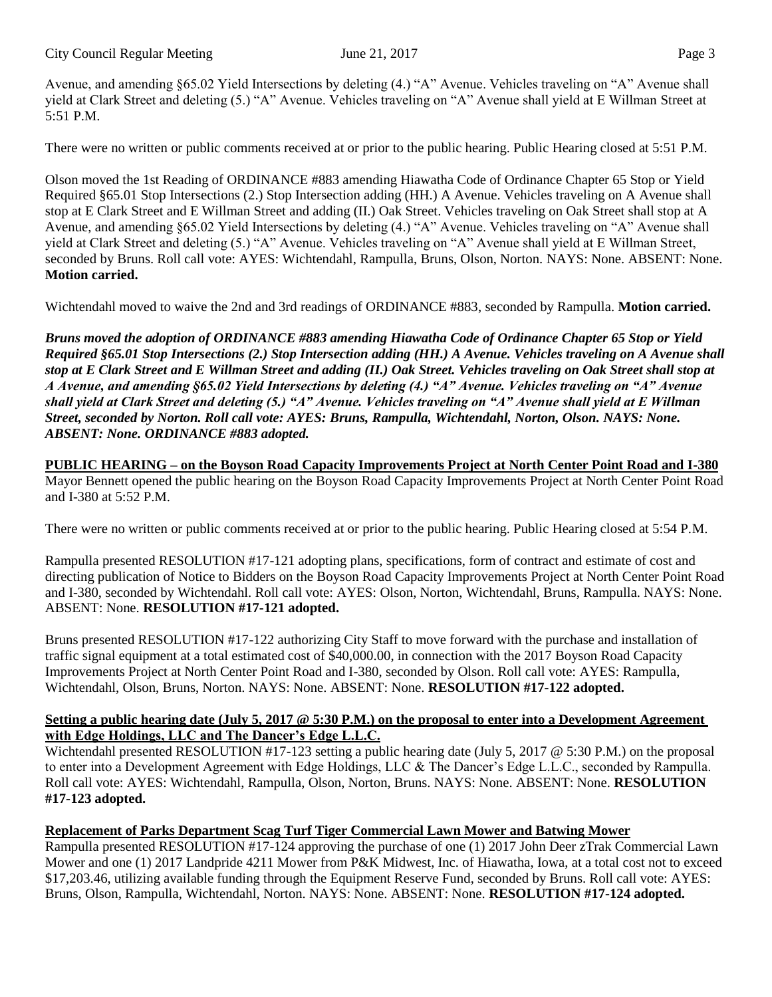City Council Regular Meeting June 21, 2017 Page 3

Avenue, and amending §65.02 Yield Intersections by deleting (4.) "A" Avenue. Vehicles traveling on "A" Avenue shall yield at Clark Street and deleting (5.) "A" Avenue. Vehicles traveling on "A" Avenue shall yield at E Willman Street at 5:51 P.M.

There were no written or public comments received at or prior to the public hearing. Public Hearing closed at 5:51 P.M.

Olson moved the 1st Reading of ORDINANCE #883 amending Hiawatha Code of Ordinance Chapter 65 Stop or Yield Required §65.01 Stop Intersections (2.) Stop Intersection adding (HH.) A Avenue. Vehicles traveling on A Avenue shall stop at E Clark Street and E Willman Street and adding (II.) Oak Street. Vehicles traveling on Oak Street shall stop at A Avenue, and amending §65.02 Yield Intersections by deleting (4.) "A" Avenue. Vehicles traveling on "A" Avenue shall yield at Clark Street and deleting (5.) "A" Avenue. Vehicles traveling on "A" Avenue shall yield at E Willman Street, seconded by Bruns. Roll call vote: AYES: Wichtendahl, Rampulla, Bruns, Olson, Norton. NAYS: None. ABSENT: None. **Motion carried.** 

Wichtendahl moved to waive the 2nd and 3rd readings of ORDINANCE #883, seconded by Rampulla. **Motion carried.**

*Bruns moved the adoption of ORDINANCE #883 amending Hiawatha Code of Ordinance Chapter 65 Stop or Yield Required §65.01 Stop Intersections (2.) Stop Intersection adding (HH.) A Avenue. Vehicles traveling on A Avenue shall stop at E Clark Street and E Willman Street and adding (II.) Oak Street. Vehicles traveling on Oak Street shall stop at A Avenue, and amending §65.02 Yield Intersections by deleting (4.) "A" Avenue. Vehicles traveling on "A" Avenue shall yield at Clark Street and deleting (5.) "A" Avenue. Vehicles traveling on "A" Avenue shall yield at E Willman Street, seconded by Norton. Roll call vote: AYES: Bruns, Rampulla, Wichtendahl, Norton, Olson. NAYS: None. ABSENT: None. ORDINANCE #883 adopted.* 

**PUBLIC HEARING – on the Boyson Road Capacity Improvements Project at North Center Point Road and I-380** Mayor Bennett opened the public hearing on the Boyson Road Capacity Improvements Project at North Center Point Road and I-380 at 5:52 P.M.

There were no written or public comments received at or prior to the public hearing. Public Hearing closed at 5:54 P.M.

Rampulla presented RESOLUTION #17-121 adopting plans, specifications, form of contract and estimate of cost and directing publication of Notice to Bidders on the Boyson Road Capacity Improvements Project at North Center Point Road and I-380, seconded by Wichtendahl. Roll call vote: AYES: Olson, Norton, Wichtendahl, Bruns, Rampulla. NAYS: None. ABSENT: None. **RESOLUTION #17-121 adopted.** 

Bruns presented RESOLUTION #17-122 authorizing City Staff to move forward with the purchase and installation of traffic signal equipment at a total estimated cost of \$40,000.00, in connection with the 2017 Boyson Road Capacity Improvements Project at North Center Point Road and I-380, seconded by Olson. Roll call vote: AYES: Rampulla, Wichtendahl, Olson, Bruns, Norton. NAYS: None. ABSENT: None. **RESOLUTION #17-122 adopted.** 

#### **Setting a public hearing date (July 5, 2017 @ 5:30 P.M.) on the proposal to enter into a Development Agreement with Edge Holdings, LLC and The Dancer's Edge L.L.C.**

Wichtendahl presented RESOLUTION #17-123 setting a public hearing date (July 5, 2017  $\omega$  5:30 P.M.) on the proposal to enter into a Development Agreement with Edge Holdings, LLC & The Dancer's Edge L.L.C., seconded by Rampulla. Roll call vote: AYES: Wichtendahl, Rampulla, Olson, Norton, Bruns. NAYS: None. ABSENT: None. **RESOLUTION #17-123 adopted.** 

# **Replacement of Parks Department Scag Turf Tiger Commercial Lawn Mower and Batwing Mower**

Rampulla presented RESOLUTION #17-124 approving the purchase of one (1) 2017 John Deer zTrak Commercial Lawn Mower and one (1) 2017 Landpride 4211 Mower from P&K Midwest, Inc. of Hiawatha, Iowa, at a total cost not to exceed \$17,203.46, utilizing available funding through the Equipment Reserve Fund, seconded by Bruns. Roll call vote: AYES: Bruns, Olson, Rampulla, Wichtendahl, Norton. NAYS: None. ABSENT: None. **RESOLUTION #17-124 adopted.**